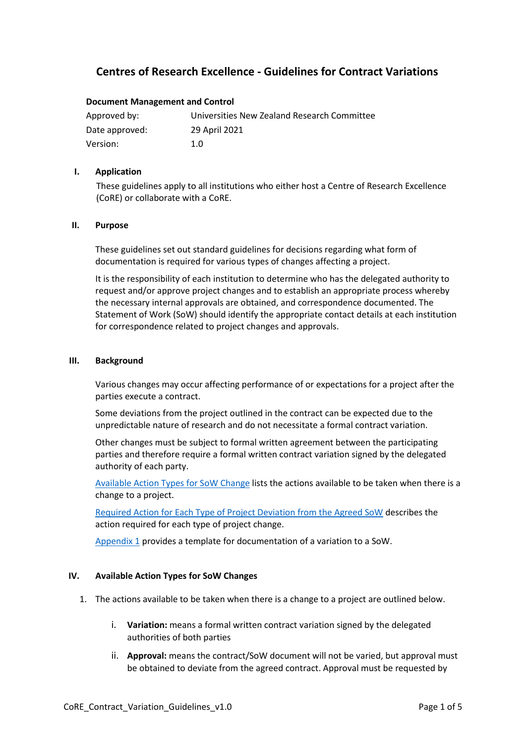# **Centres of Research Excellence - Guidelines for Contract Variations**

### **Document Management and Control**

| Approved by:   | Universities New Zealand Research Committee |
|----------------|---------------------------------------------|
| Date approved: | 29 April 2021                               |
| Version:       | 1.O                                         |

#### **I. Application**

These guidelines apply to all institutions who either host a Centre of Research Excellence (CoRE) or collaborate with a CoRE.

### **II. Purpose**

These guidelines set out standard guidelines for decisions regarding what form of documentation is required for various types of changes affecting a project.

It is the responsibility of each institution to determine who has the delegated authority to request and/or approve project changes and to establish an appropriate process whereby the necessary internal approvals are obtained, and correspondence documented. The Statement of Work (SoW) should identify the appropriate contact details at each institution for correspondence related to project changes and approvals.

### **III. Background**

Various changes may occur affecting performance of or expectations for a project after the parties execute a contract.

Some deviations from the project outlined in the contract can be expected due to the unpredictable nature of research and do not necessitate a formal contract variation.

Other changes must be subject to formal written agreement between the participating parties and therefore require a formal written contract variation signed by the delegated authority of each party.

[Available Action Types for SoW Change](#page-0-0) lists the actions available to be taken when there is a change to a project.

[Required Action for Each Type of Project Deviation from the Agreed SoW](#page-1-0) describes the action required for each type of project change.

[Appendix 1](#page-4-0) provides a template for documentation of a variation to a SoW.

## <span id="page-0-0"></span>**IV. Available Action Types for SoW Changes**

- 1. The actions available to be taken when there is a change to a project are outlined below.
	- i. **Variation:** means a formal written contract variation signed by the delegated authorities of both parties
	- ii. **Approval:** means the contract/SoW document will not be varied, but approval must be obtained to deviate from the agreed contract. Approval must be requested by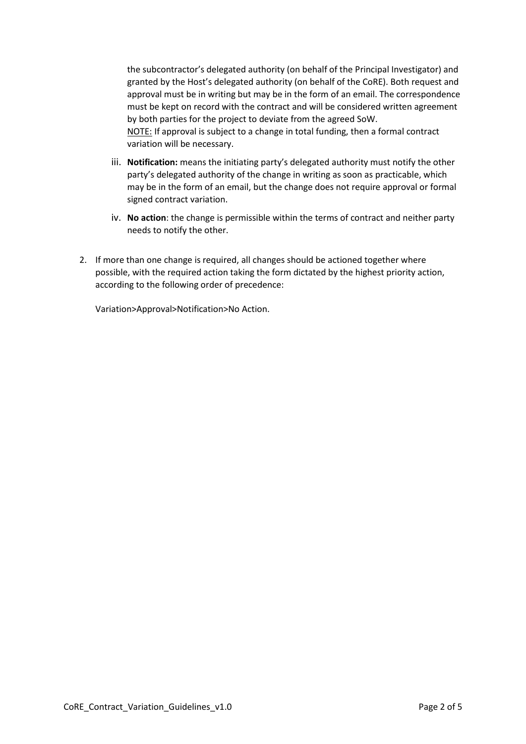the subcontractor's delegated authority (on behalf of the Principal Investigator) and granted by the Host's delegated authority (on behalf of the CoRE). Both request and approval must be in writing but may be in the form of an email. The correspondence must be kept on record with the contract and will be considered written agreement by both parties for the project to deviate from the agreed SoW. NOTE: If approval is subject to a change in total funding, then a formal contract variation will be necessary.

- iii. **Notification:** means the initiating party's delegated authority must notify the other party's delegated authority of the change in writing as soon as practicable, which may be in the form of an email, but the change does not require approval or formal signed contract variation.
- iv. **No action**: the change is permissible within the terms of contract and neither party needs to notify the other.
- 2. If more than one change is required, all changes should be actioned together where possible, with the required action taking the form dictated by the highest priority action, according to the following order of precedence:

<span id="page-1-0"></span>Variation>Approval>Notification>No Action.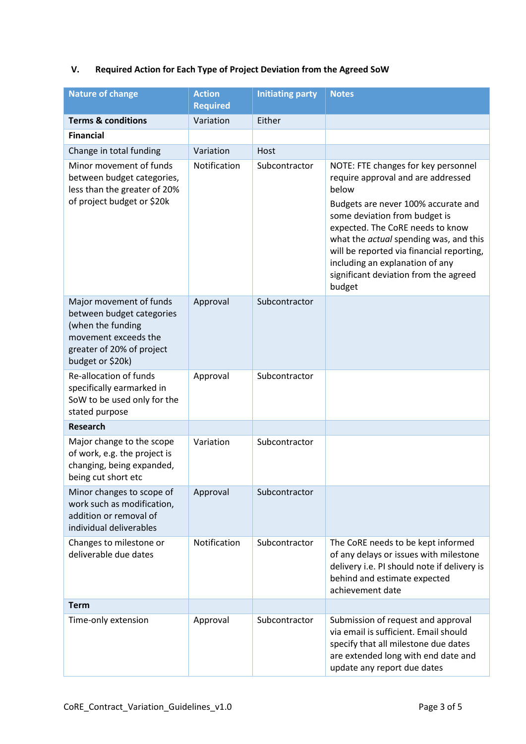# **V. Required Action for Each Type of Project Deviation from the Agreed SoW**

| <b>Nature of change</b>                                                                                                                            | <b>Action</b><br><b>Required</b> | <b>Initiating party</b> | <b>Notes</b>                                                                                                                                                                                                                                                                                                                                                                |
|----------------------------------------------------------------------------------------------------------------------------------------------------|----------------------------------|-------------------------|-----------------------------------------------------------------------------------------------------------------------------------------------------------------------------------------------------------------------------------------------------------------------------------------------------------------------------------------------------------------------------|
| <b>Terms &amp; conditions</b>                                                                                                                      | Variation                        | Either                  |                                                                                                                                                                                                                                                                                                                                                                             |
| <b>Financial</b>                                                                                                                                   |                                  |                         |                                                                                                                                                                                                                                                                                                                                                                             |
| Change in total funding                                                                                                                            | Variation                        | Host                    |                                                                                                                                                                                                                                                                                                                                                                             |
| Minor movement of funds<br>between budget categories,<br>less than the greater of 20%<br>of project budget or \$20k                                | Notification                     | Subcontractor           | NOTE: FTE changes for key personnel<br>require approval and are addressed<br>below<br>Budgets are never 100% accurate and<br>some deviation from budget is<br>expected. The CoRE needs to know<br>what the actual spending was, and this<br>will be reported via financial reporting,<br>including an explanation of any<br>significant deviation from the agreed<br>budget |
| Major movement of funds<br>between budget categories<br>(when the funding<br>movement exceeds the<br>greater of 20% of project<br>budget or \$20k) | Approval                         | Subcontractor           |                                                                                                                                                                                                                                                                                                                                                                             |
| Re-allocation of funds<br>specifically earmarked in<br>SoW to be used only for the<br>stated purpose                                               | Approval                         | Subcontractor           |                                                                                                                                                                                                                                                                                                                                                                             |
| <b>Research</b>                                                                                                                                    |                                  |                         |                                                                                                                                                                                                                                                                                                                                                                             |
| Major change to the scope<br>of work, e.g. the project is<br>changing, being expanded,<br>being cut short etc                                      | Variation                        | Subcontractor           |                                                                                                                                                                                                                                                                                                                                                                             |
| Minor changes to scope of<br>work such as modification,<br>addition or removal of<br>individual deliverables                                       | Approval                         | Subcontractor           |                                                                                                                                                                                                                                                                                                                                                                             |
| Changes to milestone or<br>deliverable due dates                                                                                                   | Notification                     | Subcontractor           | The CoRE needs to be kept informed<br>of any delays or issues with milestone<br>delivery i.e. PI should note if delivery is<br>behind and estimate expected<br>achievement date                                                                                                                                                                                             |
| <b>Term</b>                                                                                                                                        |                                  |                         |                                                                                                                                                                                                                                                                                                                                                                             |
| Time-only extension                                                                                                                                | Approval                         | Subcontractor           | Submission of request and approval<br>via email is sufficient. Email should<br>specify that all milestone due dates<br>are extended long with end date and<br>update any report due dates                                                                                                                                                                                   |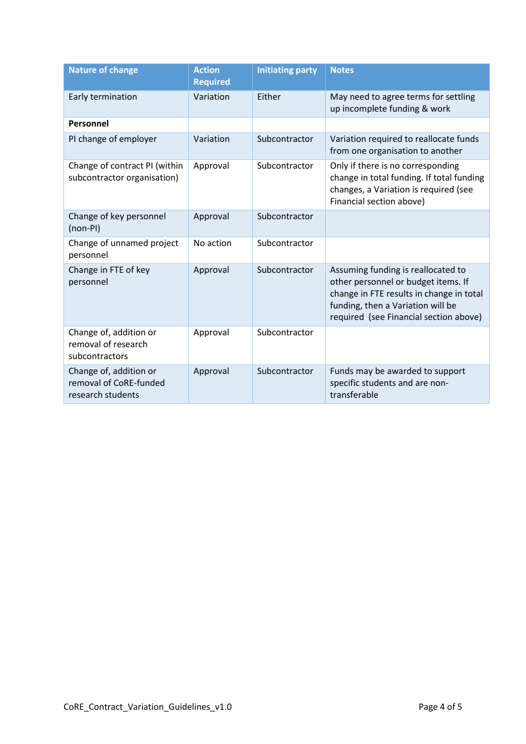| <b>Nature of change</b>                                               | <b>Action</b><br><b>Required</b> | <b>Initiating party</b> | <b>Notes</b>                                                                                                                                                                                         |
|-----------------------------------------------------------------------|----------------------------------|-------------------------|------------------------------------------------------------------------------------------------------------------------------------------------------------------------------------------------------|
| Early termination                                                     | Variation                        | Either                  | May need to agree terms for settling<br>up incomplete funding & work                                                                                                                                 |
| Personnel                                                             |                                  |                         |                                                                                                                                                                                                      |
| PI change of employer                                                 | Variation                        | Subcontractor           | Variation required to reallocate funds<br>from one organisation to another                                                                                                                           |
| Change of contract PI (within<br>subcontractor organisation)          | Approval                         | Subcontractor           | Only if there is no corresponding<br>change in total funding. If total funding<br>changes, a Variation is required (see<br>Financial section above)                                                  |
| Change of key personnel<br>(non-PI)                                   | Approval                         | Subcontractor           |                                                                                                                                                                                                      |
| Change of unnamed project<br>personnel                                | No action                        | Subcontractor           |                                                                                                                                                                                                      |
| Change in FTE of key<br>personnel                                     | Approval                         | Subcontractor           | Assuming funding is reallocated to<br>other personnel or budget items. If<br>change in FTE results in change in total<br>funding, then a Variation will be<br>required (see Financial section above) |
| Change of, addition or<br>removal of research<br>subcontractors       | Approval                         | Subcontractor           |                                                                                                                                                                                                      |
| Change of, addition or<br>removal of CoRE-funded<br>research students | Approval                         | Subcontractor           | Funds may be awarded to support<br>specific students and are non-<br>transferable                                                                                                                    |